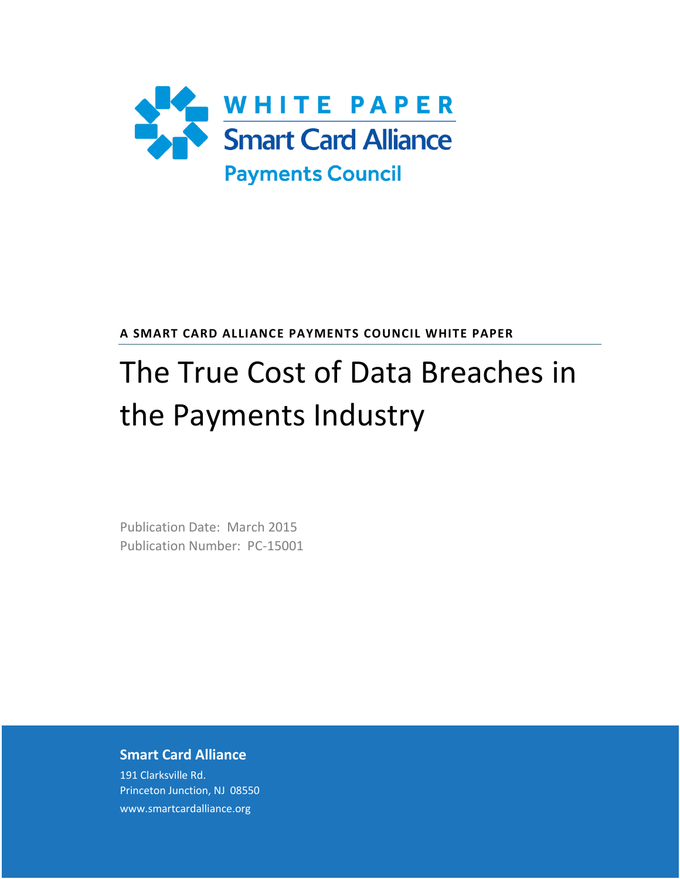

**A SMART CARD ALLIANCE PAYMENTS COUNCIL WHITE PAPER**

# The True Cost of Data Breaches in the Payments Industry

Publication Date: March 2015 Publication Number: PC-15001

### **Smart Card Alliance**

191 Clarksville Rd. Princeton Junction, NJ 08550 www.smartcardalliance.org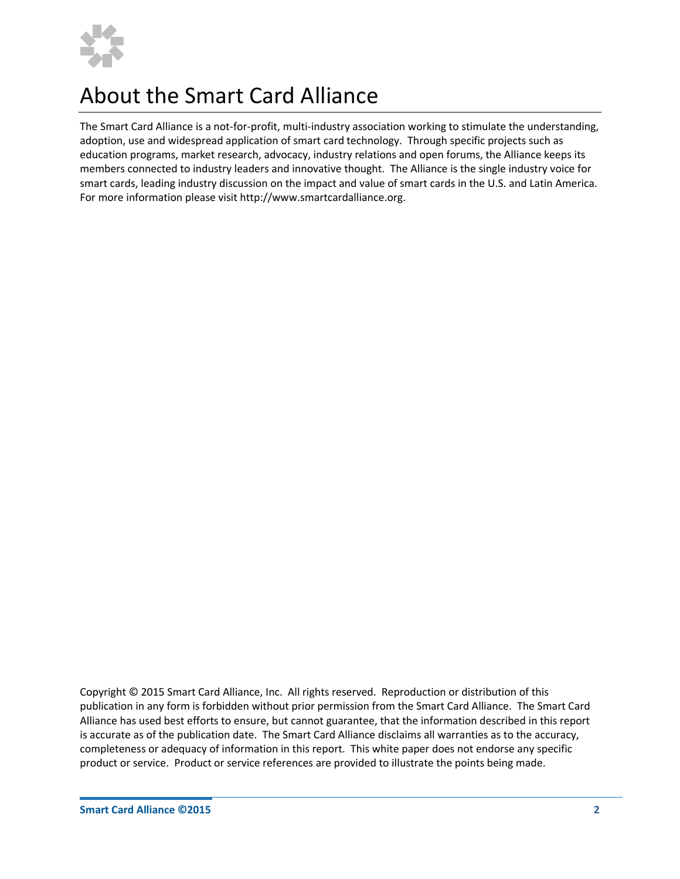

### About the Smart Card Alliance

The Smart Card Alliance is a not-for-profit, multi-industry association working to stimulate the understanding, adoption, use and widespread application of smart card technology. Through specific projects such as education programs, market research, advocacy, industry relations and open forums, the Alliance keeps its members connected to industry leaders and innovative thought. The Alliance is the single industry voice for smart cards, leading industry discussion on the impact and value of smart cards in the U.S. and Latin America. For more information please visit [http://www.smartcardalliance.org.](http://www.smartcardalliance.org/)

Copyright © 2015 Smart Card Alliance, Inc. All rights reserved. Reproduction or distribution of this publication in any form is forbidden without prior permission from the Smart Card Alliance. The Smart Card Alliance has used best efforts to ensure, but cannot guarantee, that the information described in this report is accurate as of the publication date. The Smart Card Alliance disclaims all warranties as to the accuracy, completeness or adequacy of information in this report. This white paper does not endorse any specific product or service. Product or service references are provided to illustrate the points being made.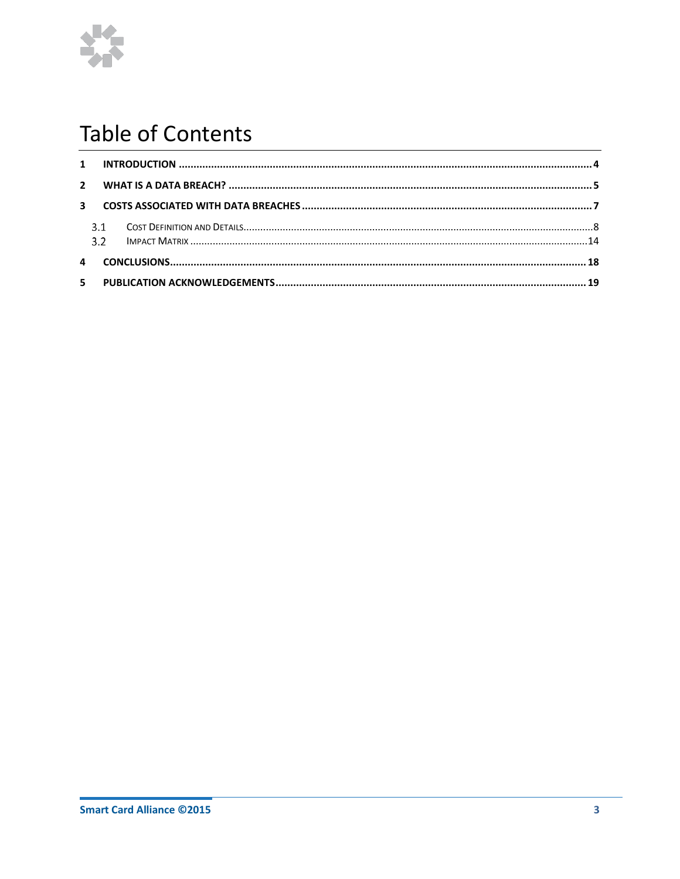

### **Table of Contents**

| $5 -$ |  |  |  |  |
|-------|--|--|--|--|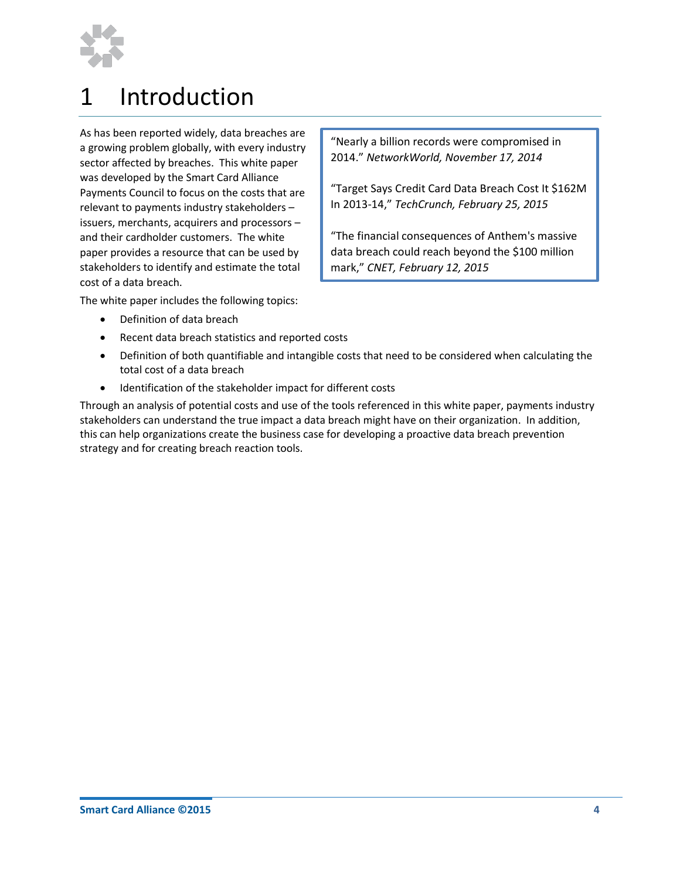

## <span id="page-3-0"></span>1 Introduction

As has been reported widely, data breaches are a growing problem globally, with every industry sector affected by breaches. This white paper was developed by the Smart Card Alliance Payments Council to focus on the costs that are relevant to payments industry stakeholders – issuers, merchants, acquirers and processors – and their cardholder customers. The white paper provides a resource that can be used by stakeholders to identify and estimate the total cost of a data breach.

"Nearly a billion records were compromised in 2014." *NetworkWorld, November 17, 2014*

"Target Says Credit Card Data Breach Cost It \$162M In 2013-14," *TechCrunch, February 25, 2015*

"The financial consequences of Anthem's massive data breach could reach beyond the \$100 million mark," *CNET, February 12, 2015*

The white paper includes the following topics:

- Definition of data breach
- Recent data breach statistics and reported costs
- Definition of both quantifiable and intangible costs that need to be considered when calculating the total cost of a data breach
- Identification of the stakeholder impact for different costs

**Smart Card Alliance**91 Clarksville Rd.inceton Junction, NJ 08550

Through an analysis of potential costs and use of the tools referenced in this white paper, payments industry stakeholders can understand the true impact a data breach might have on their organization. In addition, this can help organizations create the business case for developing a proactive data breach prevention strategy and for creating breach reaction tools.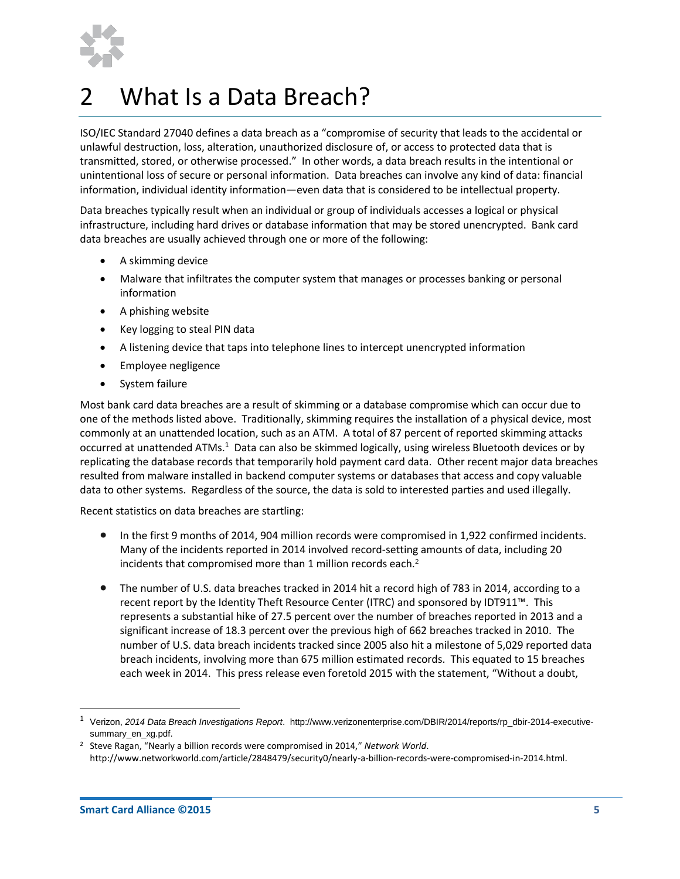

# <span id="page-4-0"></span>2 What Is a Data Breach?

ISO/IEC Standard 27040 defines a data breach as a "compromise of security that leads to the accidental or unlawful destruction, loss, alteration, unauthorized disclosure of, or access to protected data that is transmitted, stored, or otherwise processed." In other words, a data breach results in the intentional or unintentional loss of secure or personal information. Data breaches can involve any kind of data: financial information, individual identity information—even data that is considered to be intellectual property.

Data breaches typically result when an individual or group of individuals accesses a logical or physical infrastructure, including hard drives or database information that may be stored unencrypted. Bank card data breaches are usually achieved through one or more of the following:

- A skimming device
- Malware that infiltrates the computer system that manages or processes banking or personal information
- A phishing website
- Key logging to steal PIN data
- A listening device that taps into telephone lines to intercept unencrypted information
- Employee negligence
- **•** System failure

Most bank card data breaches are a result of skimming or a database compromise which can occur due to one of the methods listed above. Traditionally, skimming requires the installation of a physical device, most commonly at an unattended location, such as an ATM. A total of 87 percent of reported skimming attacks occurred at unattended ATMs.<sup>1</sup> Data can also be skimmed logically, using wireless Bluetooth devices or by replicating the database records that temporarily hold payment card data. Other recent major data breaches resulted from malware installed in backend computer systems or databases that access and copy valuable data to other systems. Regardless of the source, the data is sold to interested parties and used illegally.

Recent statistics on data breaches are startling:

- In the first 9 months of 2014, 904 million records were compromised in 1,922 confirmed incidents. Many of the incidents reported in 2014 involved record-setting amounts of data, including 20 incidents that compromised more than 1 million records each.<sup>2</sup>
- The number of U.S. data breaches tracked in 2014 hit a record high of 783 in 2014, according to a recent report by the Identity Theft Resource Center (ITRC) and sponsored by IDT911™. This represents a substantial hike of 27.5 percent over the number of breaches reported in 2013 and a significant increase of 18.3 percent over the previous high of 662 breaches tracked in 2010. The number of U.S. data breach incidents tracked since 2005 also hit a milestone of 5,029 reported data breach incidents, involving more than 675 million estimated records. This equated to 15 breaches each week in 2014. This press release even foretold 2015 with the statement, "Without a doubt,

**Smart Card Alliance**91 Clarksville Rd.inceton Junction, NJ 08550

 $\overline{a}$ 

<sup>1</sup> Verizon, *2014 Data Breach Investigations Report*. [http://www.verizonenterprise.com/DBIR/2014/reports/rp\\_dbir-2014-executive](http://www.verizonenterprise.com/DBIR/2014/reports/rp_dbir-2014-executive-summary_en_xg.pdf)[summary\\_en\\_xg.pdf.](http://www.verizonenterprise.com/DBIR/2014/reports/rp_dbir-2014-executive-summary_en_xg.pdf)

<sup>2</sup> Steve Ragan, "Nearly a billion records were compromised in 2014," *Network World*. http://www.networkworld.com/article/2848479/security0/nearly-a-billion-records-were-compromised-in-2014.html.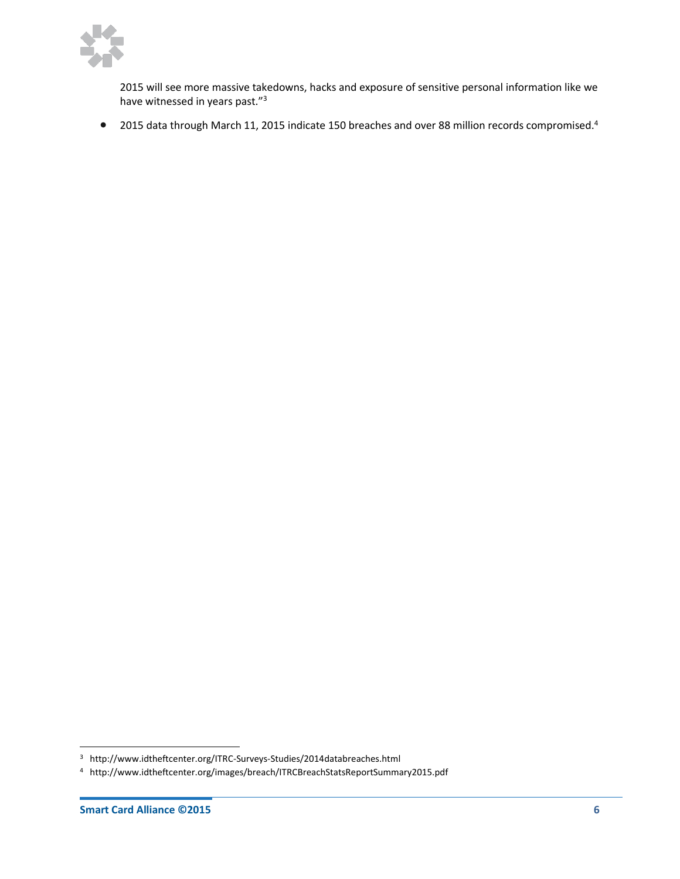

2015 will see more massive takedowns, hacks and exposure of sensitive personal information like we have witnessed in years past."<sup>3</sup>

• 2015 data through March 11, 2015 indicate 150 breaches and over 88 million records compromised.<sup>4</sup>

**Smart Card Alliance**91 Clarksville Rd.inceton Junction, NJ 08550

 $\overline{a}$ 

<sup>3</sup> http://www.idtheftcenter.org/ITRC-Surveys-Studies/2014databreaches.html

<sup>4</sup> http://www.idtheftcenter.org/images/breach/ITRCBreachStatsReportSummary2015.pdf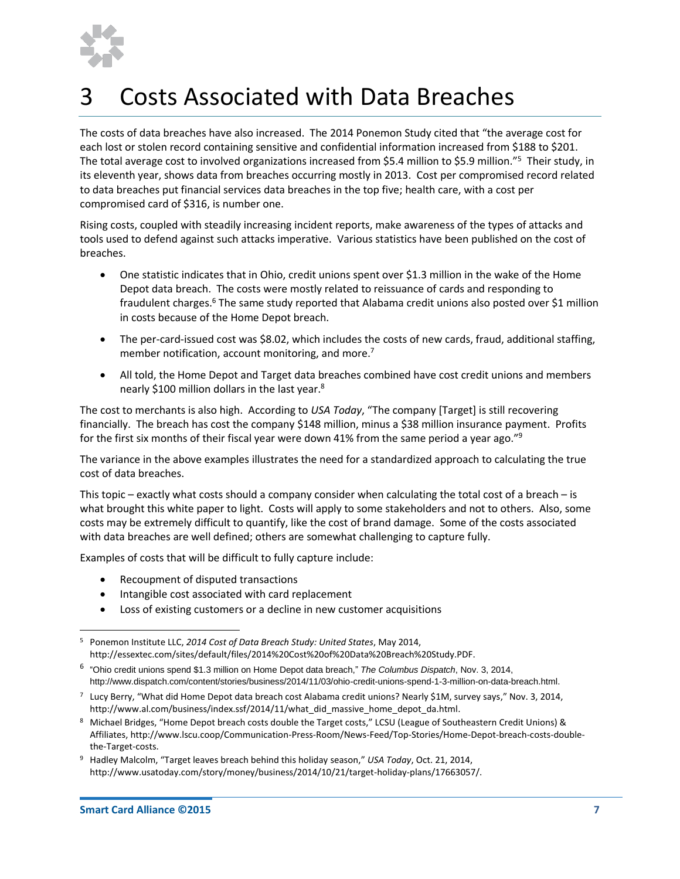

# <span id="page-6-0"></span>3 Costs Associated with Data Breaches

The costs of data breaches have also increased. The 2014 Ponemon Study cited that "the average cost for each lost or stolen record containing sensitive and confidential information increased from \$188 to \$201. The total average cost to involved organizations increased from \$5.4 million to \$5.9 million."<sup>5</sup> Their study, in its eleventh year, shows data from breaches occurring mostly in 2013. Cost per compromised record related to data breaches put financial services data breaches in the top five; health care, with a cost per compromised card of \$316, is number one.

Rising costs, coupled with steadily increasing incident reports, make awareness of the types of attacks and tools used to defend against such attacks imperative. Various statistics have been published on the cost of breaches.

- One statistic indicates that in Ohio, credit unions spent over \$1.3 million in the wake of the Home Depot data breach. The costs were mostly related to reissuance of cards and responding to fraudulent charges.<sup>6</sup> The same study reported that Alabama credit unions also posted over \$1 million in costs because of the Home Depot breach.
- The per-card-issued cost was \$8.02, which includes the costs of new cards, fraud, additional staffing, member notification, account monitoring, and more.<sup>7</sup>
- All told, the Home Depot and Target data breaches combined have cost credit unions and members nearly \$100 million dollars in the last year.<sup>8</sup>

The cost to merchants is also high. According to *USA Today*, "The company [Target] is still recovering financially. The breach has cost the company \$148 million, minus a \$38 million insurance payment. Profits for the first six months of their fiscal year were down 41% from the same period a year ago."<sup>9</sup>

The variance in the above examples illustrates the need for a standardized approach to calculating the true cost of data breaches.

This topic – exactly what costs should a company consider when calculating the total cost of a breach – is what brought this white paper to light. Costs will apply to some stakeholders and not to others. Also, some costs may be extremely difficult to quantify, like the cost of brand damage. Some of the costs associated with data breaches are well defined; others are somewhat challenging to capture fully.

Examples of costs that will be difficult to fully capture include:

- Recoupment of disputed transactions
- Intangible cost associated with card replacement
- Loss of existing customers or a decline in new customer acquisitions

- 6 "Ohio credit unions spend \$1.3 million on Home Depot data breach," *The Columbus Dispatch*, Nov. 3, 2014, [http://www.dispatch.com/content/stories/business/2014/11/03/ohio-credit-unions-spend-1-3-million-on-data-breach.html.](http://www.dispatch.com/content/stories/business/2014/11/03/ohio-credit-unions-spend-1-3-million-on-data-breach.html)
- <sup>7</sup> Lucy Berry, "What did Home Depot data breach cost Alabama credit unions? Nearly \$1M, survey says," Nov. 3, 2014, http://www.al.com/business/index.ssf/2014/11/what\_did\_massive\_home\_depot\_da.html.

 $\overline{a}$ <sup>5</sup> Ponemon Institute LLC, *2014 Cost of Data Breach Study: United States*, May 2014, http://essextec.com/sites/default/files/2014%20Cost%20of%20Data%20Breach%20Study.PDF.

<sup>8</sup> Michael Bridges, "Home Depot breach costs double the Target costs," LCSU (League of Southeastern Credit Unions) & Affiliates, http://www.lscu.coop/Communication-Press-Room/News-Feed/Top-Stories/Home-Depot-breach-costs-doublethe-Target-costs.

<sup>9</sup> Hadley Malcolm, "Target leaves breach behind this holiday season," *USA Today*, Oct. 21, 2014, http://www.usatoday.com/story/money/business/2014/10/21/target-holiday-plans/17663057/.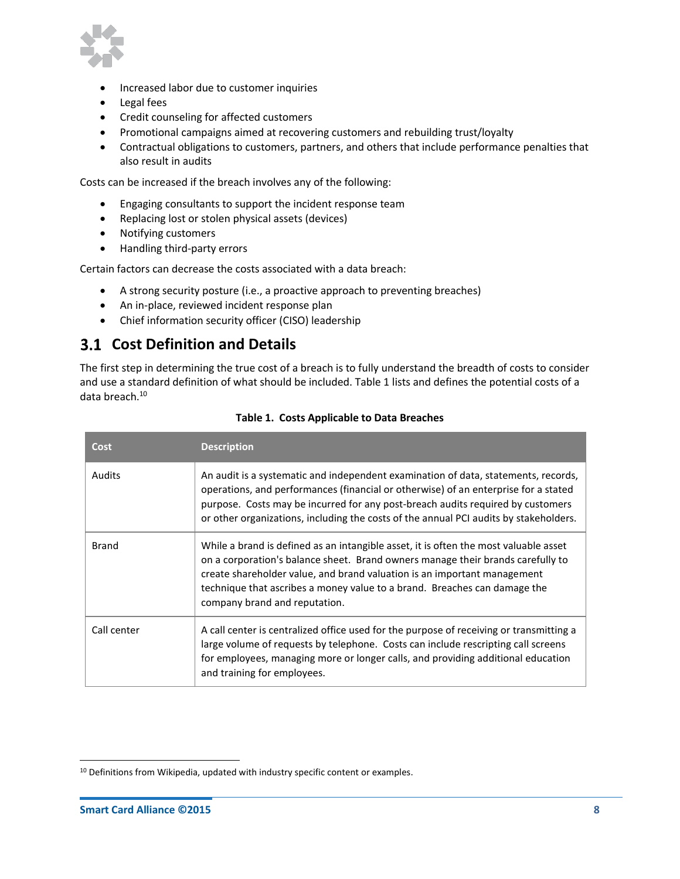

- Increased labor due to customer inquiries
- Legal fees
- Credit counseling for affected customers
- Promotional campaigns aimed at recovering customers and rebuilding trust/loyalty
- Contractual obligations to customers, partners, and others that include performance penalties that also result in audits

Costs can be increased if the breach involves any of the following:

- Engaging consultants to support the incident response team
- Replacing lost or stolen physical assets (devices)
- Notifying customers
- Handling third-party errors

Certain factors can decrease the costs associated with a data breach:

- A strong security posture (i.e., a proactive approach to preventing breaches)
- An in-place, reviewed incident response plan
- Chief information security officer (CISO) leadership

### <span id="page-7-0"></span>**Cost Definition and Details**

The first step in determining the true cost of a breach is to fully understand the breadth of costs to consider and use a standard definition of what should be included[. Table 1](#page-7-1) lists and defines the potential costs of a data breach. 10

<span id="page-7-1"></span>

| Cost          | <b>Description</b>                                                                                                                                                                                                                                                                                                                                                |
|---------------|-------------------------------------------------------------------------------------------------------------------------------------------------------------------------------------------------------------------------------------------------------------------------------------------------------------------------------------------------------------------|
| <b>Audits</b> | An audit is a systematic and independent examination of data, statements, records,<br>operations, and performances (financial or otherwise) of an enterprise for a stated<br>purpose. Costs may be incurred for any post-breach audits required by customers<br>or other organizations, including the costs of the annual PCI audits by stakeholders.             |
| <b>Brand</b>  | While a brand is defined as an intangible asset, it is often the most valuable asset<br>on a corporation's balance sheet. Brand owners manage their brands carefully to<br>create shareholder value, and brand valuation is an important management<br>technique that ascribes a money value to a brand. Breaches can damage the<br>company brand and reputation. |
| Call center   | A call center is centralized office used for the purpose of receiving or transmitting a<br>large volume of requests by telephone. Costs can include rescripting call screens<br>for employees, managing more or longer calls, and providing additional education<br>and training for employees.                                                                   |

#### **Table 1. Costs Applicable to Data Breaches**

**Smart Card Alliance**91 Clarksville Rd.inceton Junction, NJ 08550

 $\overline{a}$ 

<sup>&</sup>lt;sup>10</sup> Definitions from Wikipedia, updated with industry specific content or examples.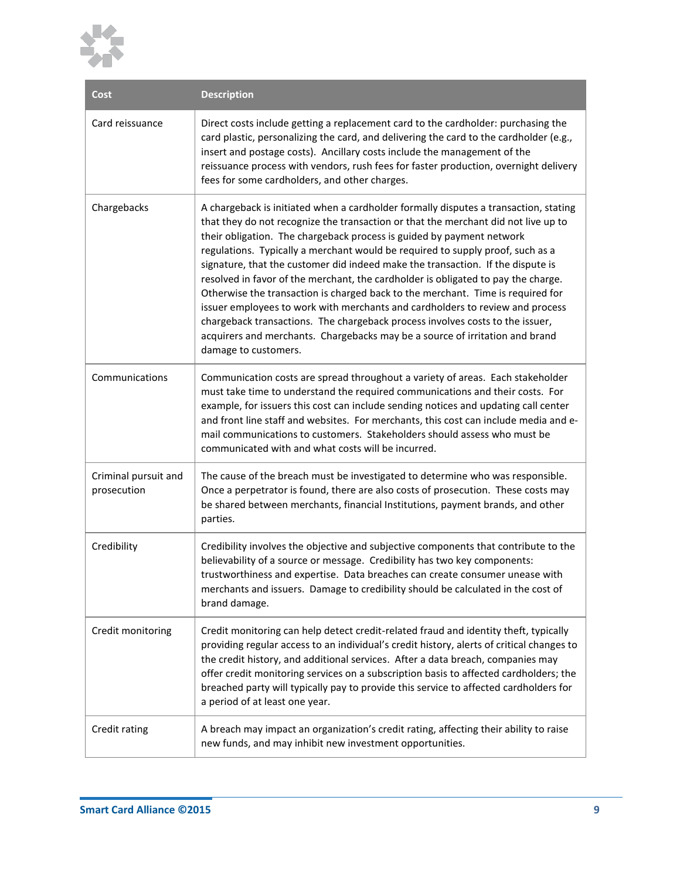

| Cost                                | <b>Description</b>                                                                                                                                                                                                                                                                                                                                                                                                                                                                                                                                                                                                                                                                                                                                                                                                                                                         |
|-------------------------------------|----------------------------------------------------------------------------------------------------------------------------------------------------------------------------------------------------------------------------------------------------------------------------------------------------------------------------------------------------------------------------------------------------------------------------------------------------------------------------------------------------------------------------------------------------------------------------------------------------------------------------------------------------------------------------------------------------------------------------------------------------------------------------------------------------------------------------------------------------------------------------|
| Card reissuance                     | Direct costs include getting a replacement card to the cardholder: purchasing the<br>card plastic, personalizing the card, and delivering the card to the cardholder (e.g.,<br>insert and postage costs). Ancillary costs include the management of the<br>reissuance process with vendors, rush fees for faster production, overnight delivery<br>fees for some cardholders, and other charges.                                                                                                                                                                                                                                                                                                                                                                                                                                                                           |
| Chargebacks                         | A chargeback is initiated when a cardholder formally disputes a transaction, stating<br>that they do not recognize the transaction or that the merchant did not live up to<br>their obligation. The chargeback process is guided by payment network<br>regulations. Typically a merchant would be required to supply proof, such as a<br>signature, that the customer did indeed make the transaction. If the dispute is<br>resolved in favor of the merchant, the cardholder is obligated to pay the charge.<br>Otherwise the transaction is charged back to the merchant. Time is required for<br>issuer employees to work with merchants and cardholders to review and process<br>chargeback transactions. The chargeback process involves costs to the issuer,<br>acquirers and merchants. Chargebacks may be a source of irritation and brand<br>damage to customers. |
| Communications                      | Communication costs are spread throughout a variety of areas. Each stakeholder<br>must take time to understand the required communications and their costs. For<br>example, for issuers this cost can include sending notices and updating call center<br>and front line staff and websites. For merchants, this cost can include media and e-<br>mail communications to customers. Stakeholders should assess who must be<br>communicated with and what costs will be incurred.                                                                                                                                                                                                                                                                                                                                                                                           |
| Criminal pursuit and<br>prosecution | The cause of the breach must be investigated to determine who was responsible.<br>Once a perpetrator is found, there are also costs of prosecution. These costs may<br>be shared between merchants, financial Institutions, payment brands, and other<br>parties.                                                                                                                                                                                                                                                                                                                                                                                                                                                                                                                                                                                                          |
| Credibility                         | Credibility involves the objective and subjective components that contribute to the<br>believability of a source or message. Credibility has two key components:<br>trustworthiness and expertise. Data breaches can create consumer unease with<br>merchants and issuers. Damage to credibility should be calculated in the cost of<br>brand damage.                                                                                                                                                                                                                                                                                                                                                                                                                                                                                                                      |
| Credit monitoring                   | Credit monitoring can help detect credit-related fraud and identity theft, typically<br>providing regular access to an individual's credit history, alerts of critical changes to<br>the credit history, and additional services. After a data breach, companies may<br>offer credit monitoring services on a subscription basis to affected cardholders; the<br>breached party will typically pay to provide this service to affected cardholders for<br>a period of at least one year.                                                                                                                                                                                                                                                                                                                                                                                   |
| Credit rating                       | A breach may impact an organization's credit rating, affecting their ability to raise<br>new funds, and may inhibit new investment opportunities.                                                                                                                                                                                                                                                                                                                                                                                                                                                                                                                                                                                                                                                                                                                          |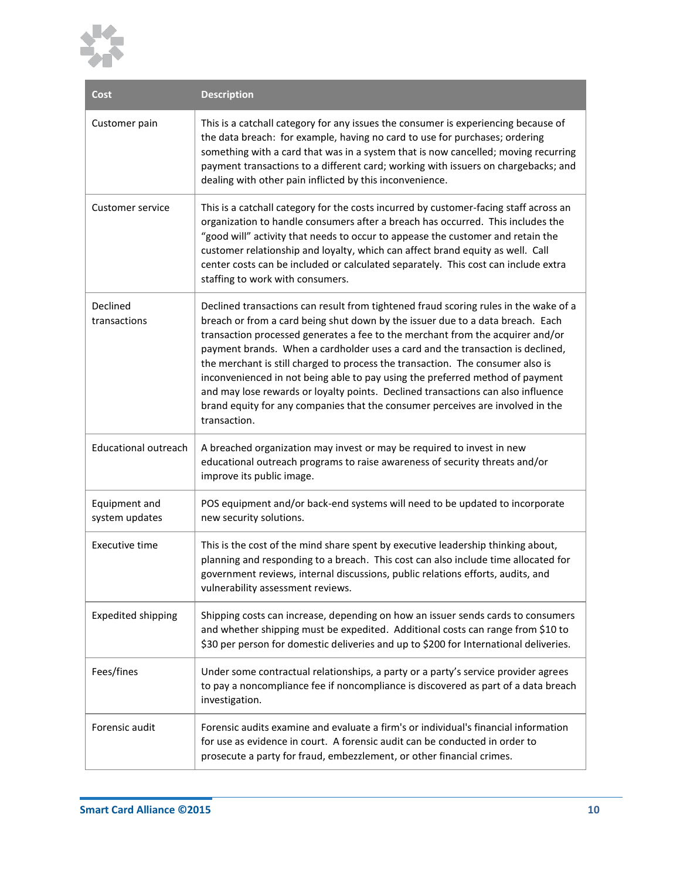

| Cost                            | <b>Description</b>                                                                                                                                                                                                                                                                                                                                                                                                                                                                                                                                                                                                                                                                                  |
|---------------------------------|-----------------------------------------------------------------------------------------------------------------------------------------------------------------------------------------------------------------------------------------------------------------------------------------------------------------------------------------------------------------------------------------------------------------------------------------------------------------------------------------------------------------------------------------------------------------------------------------------------------------------------------------------------------------------------------------------------|
| Customer pain                   | This is a catchall category for any issues the consumer is experiencing because of<br>the data breach: for example, having no card to use for purchases; ordering<br>something with a card that was in a system that is now cancelled; moving recurring<br>payment transactions to a different card; working with issuers on chargebacks; and<br>dealing with other pain inflicted by this inconvenience.                                                                                                                                                                                                                                                                                           |
| <b>Customer service</b>         | This is a catchall category for the costs incurred by customer-facing staff across an<br>organization to handle consumers after a breach has occurred. This includes the<br>"good will" activity that needs to occur to appease the customer and retain the<br>customer relationship and loyalty, which can affect brand equity as well. Call<br>center costs can be included or calculated separately. This cost can include extra<br>staffing to work with consumers.                                                                                                                                                                                                                             |
| Declined<br>transactions        | Declined transactions can result from tightened fraud scoring rules in the wake of a<br>breach or from a card being shut down by the issuer due to a data breach. Each<br>transaction processed generates a fee to the merchant from the acquirer and/or<br>payment brands. When a cardholder uses a card and the transaction is declined,<br>the merchant is still charged to process the transaction. The consumer also is<br>inconvenienced in not being able to pay using the preferred method of payment<br>and may lose rewards or loyalty points. Declined transactions can also influence<br>brand equity for any companies that the consumer perceives are involved in the<br>transaction. |
| <b>Educational outreach</b>     | A breached organization may invest or may be required to invest in new<br>educational outreach programs to raise awareness of security threats and/or<br>improve its public image.                                                                                                                                                                                                                                                                                                                                                                                                                                                                                                                  |
| Equipment and<br>system updates | POS equipment and/or back-end systems will need to be updated to incorporate<br>new security solutions.                                                                                                                                                                                                                                                                                                                                                                                                                                                                                                                                                                                             |
| <b>Executive time</b>           | This is the cost of the mind share spent by executive leadership thinking about,<br>planning and responding to a breach. This cost can also include time allocated for<br>government reviews, internal discussions, public relations efforts, audits, and<br>vulnerability assessment reviews.                                                                                                                                                                                                                                                                                                                                                                                                      |
| <b>Expedited shipping</b>       | Shipping costs can increase, depending on how an issuer sends cards to consumers<br>and whether shipping must be expedited. Additional costs can range from \$10 to<br>\$30 per person for domestic deliveries and up to \$200 for International deliveries.                                                                                                                                                                                                                                                                                                                                                                                                                                        |
| Fees/fines                      | Under some contractual relationships, a party or a party's service provider agrees<br>to pay a noncompliance fee if noncompliance is discovered as part of a data breach<br>investigation.                                                                                                                                                                                                                                                                                                                                                                                                                                                                                                          |
| Forensic audit                  | Forensic audits examine and evaluate a firm's or individual's financial information<br>for use as evidence in court. A forensic audit can be conducted in order to<br>prosecute a party for fraud, embezzlement, or other financial crimes.                                                                                                                                                                                                                                                                                                                                                                                                                                                         |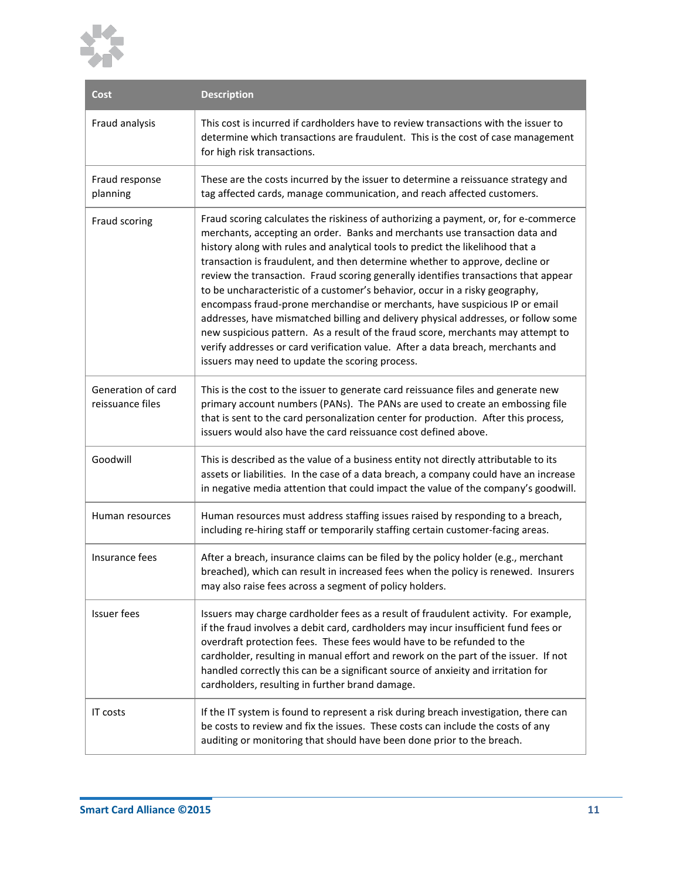

| Cost                                   | <b>Description</b>                                                                                                                                                                                                                                                                                                                                                                                                                                                                                                                                                                                                                                                                                                                                                                                                                                                                                         |
|----------------------------------------|------------------------------------------------------------------------------------------------------------------------------------------------------------------------------------------------------------------------------------------------------------------------------------------------------------------------------------------------------------------------------------------------------------------------------------------------------------------------------------------------------------------------------------------------------------------------------------------------------------------------------------------------------------------------------------------------------------------------------------------------------------------------------------------------------------------------------------------------------------------------------------------------------------|
| Fraud analysis                         | This cost is incurred if cardholders have to review transactions with the issuer to<br>determine which transactions are fraudulent. This is the cost of case management<br>for high risk transactions.                                                                                                                                                                                                                                                                                                                                                                                                                                                                                                                                                                                                                                                                                                     |
| Fraud response<br>planning             | These are the costs incurred by the issuer to determine a reissuance strategy and<br>tag affected cards, manage communication, and reach affected customers.                                                                                                                                                                                                                                                                                                                                                                                                                                                                                                                                                                                                                                                                                                                                               |
| Fraud scoring                          | Fraud scoring calculates the riskiness of authorizing a payment, or, for e-commerce<br>merchants, accepting an order. Banks and merchants use transaction data and<br>history along with rules and analytical tools to predict the likelihood that a<br>transaction is fraudulent, and then determine whether to approve, decline or<br>review the transaction. Fraud scoring generally identifies transactions that appear<br>to be uncharacteristic of a customer's behavior, occur in a risky geography,<br>encompass fraud-prone merchandise or merchants, have suspicious IP or email<br>addresses, have mismatched billing and delivery physical addresses, or follow some<br>new suspicious pattern. As a result of the fraud score, merchants may attempt to<br>verify addresses or card verification value. After a data breach, merchants and<br>issuers may need to update the scoring process. |
| Generation of card<br>reissuance files | This is the cost to the issuer to generate card reissuance files and generate new<br>primary account numbers (PANs). The PANs are used to create an embossing file<br>that is sent to the card personalization center for production. After this process,<br>issuers would also have the card reissuance cost defined above.                                                                                                                                                                                                                                                                                                                                                                                                                                                                                                                                                                               |
| Goodwill                               | This is described as the value of a business entity not directly attributable to its<br>assets or liabilities. In the case of a data breach, a company could have an increase<br>in negative media attention that could impact the value of the company's goodwill.                                                                                                                                                                                                                                                                                                                                                                                                                                                                                                                                                                                                                                        |
| Human resources                        | Human resources must address staffing issues raised by responding to a breach,<br>including re-hiring staff or temporarily staffing certain customer-facing areas.                                                                                                                                                                                                                                                                                                                                                                                                                                                                                                                                                                                                                                                                                                                                         |
| Insurance fees                         | After a breach, insurance claims can be filed by the policy holder (e.g., merchant<br>breached), which can result in increased fees when the policy is renewed. Insurers<br>may also raise fees across a segment of policy holders.                                                                                                                                                                                                                                                                                                                                                                                                                                                                                                                                                                                                                                                                        |
| <b>Issuer fees</b>                     | Issuers may charge cardholder fees as a result of fraudulent activity. For example,<br>if the fraud involves a debit card, cardholders may incur insufficient fund fees or<br>overdraft protection fees. These fees would have to be refunded to the<br>cardholder, resulting in manual effort and rework on the part of the issuer. If not<br>handled correctly this can be a significant source of anxieity and irritation for<br>cardholders, resulting in further brand damage.                                                                                                                                                                                                                                                                                                                                                                                                                        |
| <b>IT costs</b>                        | If the IT system is found to represent a risk during breach investigation, there can<br>be costs to review and fix the issues. These costs can include the costs of any<br>auditing or monitoring that should have been done prior to the breach.                                                                                                                                                                                                                                                                                                                                                                                                                                                                                                                                                                                                                                                          |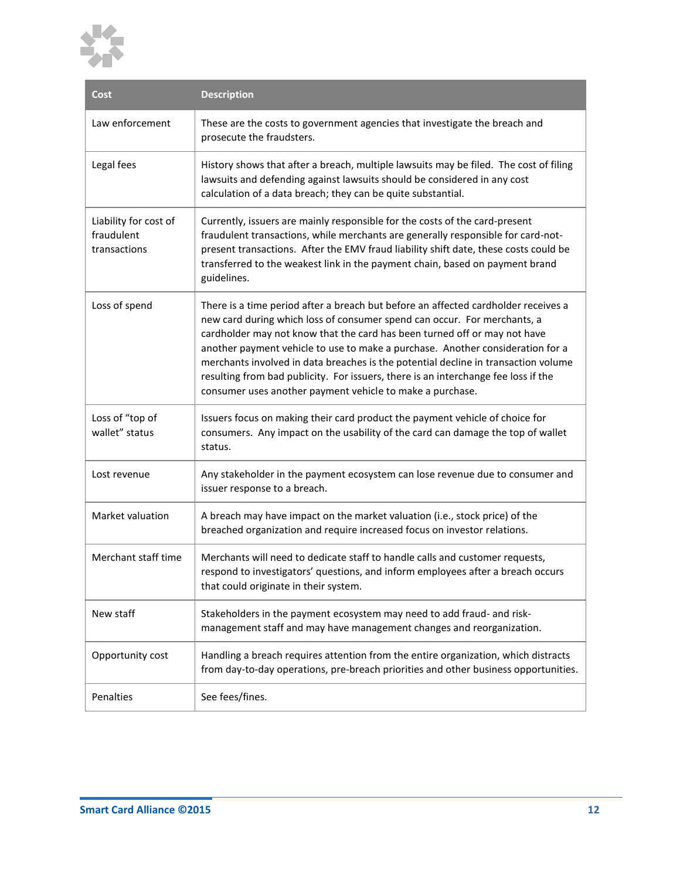

| <b>Cost</b>                                         | <b>Description</b>                                                                                                                                                                                                                                                                                                                                                                                                                                                                                                                                                     |  |  |  |  |  |
|-----------------------------------------------------|------------------------------------------------------------------------------------------------------------------------------------------------------------------------------------------------------------------------------------------------------------------------------------------------------------------------------------------------------------------------------------------------------------------------------------------------------------------------------------------------------------------------------------------------------------------------|--|--|--|--|--|
| Law enforcement                                     | These are the costs to government agencies that investigate the breach and<br>prosecute the fraudsters.                                                                                                                                                                                                                                                                                                                                                                                                                                                                |  |  |  |  |  |
| Legal fees                                          | History shows that after a breach, multiple lawsuits may be filed. The cost of filing<br>lawsuits and defending against lawsuits should be considered in any cost<br>calculation of a data breach; they can be quite substantial.                                                                                                                                                                                                                                                                                                                                      |  |  |  |  |  |
| Liability for cost of<br>fraudulent<br>transactions | Currently, issuers are mainly responsible for the costs of the card-present<br>fraudulent transactions, while merchants are generally responsible for card-not-<br>present transactions. After the EMV fraud liability shift date, these costs could be<br>transferred to the weakest link in the payment chain, based on payment brand<br>guidelines.                                                                                                                                                                                                                 |  |  |  |  |  |
| Loss of spend                                       | There is a time period after a breach but before an affected cardholder receives a<br>new card during which loss of consumer spend can occur. For merchants, a<br>cardholder may not know that the card has been turned off or may not have<br>another payment vehicle to use to make a purchase. Another consideration for a<br>merchants involved in data breaches is the potential decline in transaction volume<br>resulting from bad publicity. For issuers, there is an interchange fee loss if the<br>consumer uses another payment vehicle to make a purchase. |  |  |  |  |  |
| Loss of "top of<br>wallet" status                   | Issuers focus on making their card product the payment vehicle of choice for<br>consumers. Any impact on the usability of the card can damage the top of wallet<br>status.                                                                                                                                                                                                                                                                                                                                                                                             |  |  |  |  |  |
| Lost revenue                                        | Any stakeholder in the payment ecosystem can lose revenue due to consumer and<br>issuer response to a breach.                                                                                                                                                                                                                                                                                                                                                                                                                                                          |  |  |  |  |  |
| Market valuation                                    | A breach may have impact on the market valuation (i.e., stock price) of the<br>breached organization and require increased focus on investor relations.                                                                                                                                                                                                                                                                                                                                                                                                                |  |  |  |  |  |
| Merchant staff time                                 | Merchants will need to dedicate staff to handle calls and customer requests,<br>respond to investigators' questions, and inform employees after a breach occurs<br>that could originate in their system.                                                                                                                                                                                                                                                                                                                                                               |  |  |  |  |  |
| New staff                                           | Stakeholders in the payment ecosystem may need to add fraud- and risk-<br>management staff and may have management changes and reorganization.                                                                                                                                                                                                                                                                                                                                                                                                                         |  |  |  |  |  |
| Opportunity cost                                    | Handling a breach requires attention from the entire organization, which distracts<br>from day-to-day operations, pre-breach priorities and other business opportunities.                                                                                                                                                                                                                                                                                                                                                                                              |  |  |  |  |  |
| Penalties                                           | See fees/fines.                                                                                                                                                                                                                                                                                                                                                                                                                                                                                                                                                        |  |  |  |  |  |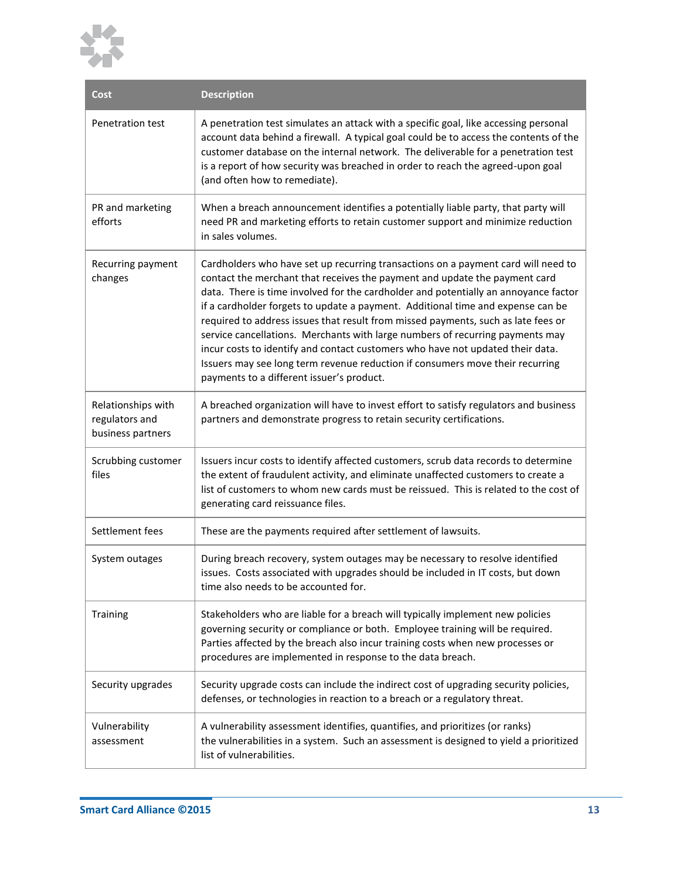

| <b>Cost</b>                                               | <b>Description</b>                                                                                                                                                                                                                                                                                                                                                                                                                                                                                                                                                                                                                                                                                                              |
|-----------------------------------------------------------|---------------------------------------------------------------------------------------------------------------------------------------------------------------------------------------------------------------------------------------------------------------------------------------------------------------------------------------------------------------------------------------------------------------------------------------------------------------------------------------------------------------------------------------------------------------------------------------------------------------------------------------------------------------------------------------------------------------------------------|
| Penetration test                                          | A penetration test simulates an attack with a specific goal, like accessing personal<br>account data behind a firewall. A typical goal could be to access the contents of the<br>customer database on the internal network. The deliverable for a penetration test<br>is a report of how security was breached in order to reach the agreed-upon goal<br>(and often how to remediate).                                                                                                                                                                                                                                                                                                                                          |
| PR and marketing<br>efforts                               | When a breach announcement identifies a potentially liable party, that party will<br>need PR and marketing efforts to retain customer support and minimize reduction<br>in sales volumes.                                                                                                                                                                                                                                                                                                                                                                                                                                                                                                                                       |
| Recurring payment<br>changes                              | Cardholders who have set up recurring transactions on a payment card will need to<br>contact the merchant that receives the payment and update the payment card<br>data. There is time involved for the cardholder and potentially an annoyance factor<br>if a cardholder forgets to update a payment. Additional time and expense can be<br>required to address issues that result from missed payments, such as late fees or<br>service cancellations. Merchants with large numbers of recurring payments may<br>incur costs to identify and contact customers who have not updated their data.<br>Issuers may see long term revenue reduction if consumers move their recurring<br>payments to a different issuer's product. |
| Relationships with<br>regulators and<br>business partners | A breached organization will have to invest effort to satisfy regulators and business<br>partners and demonstrate progress to retain security certifications.                                                                                                                                                                                                                                                                                                                                                                                                                                                                                                                                                                   |
| Scrubbing customer<br>files                               | Issuers incur costs to identify affected customers, scrub data records to determine<br>the extent of fraudulent activity, and eliminate unaffected customers to create a<br>list of customers to whom new cards must be reissued. This is related to the cost of<br>generating card reissuance files.                                                                                                                                                                                                                                                                                                                                                                                                                           |
| Settlement fees                                           | These are the payments required after settlement of lawsuits.                                                                                                                                                                                                                                                                                                                                                                                                                                                                                                                                                                                                                                                                   |
| System outages                                            | During breach recovery, system outages may be necessary to resolve identified<br>issues. Costs associated with upgrades should be included in IT costs, but down<br>time also needs to be accounted for.                                                                                                                                                                                                                                                                                                                                                                                                                                                                                                                        |
| Training                                                  | Stakeholders who are liable for a breach will typically implement new policies<br>governing security or compliance or both. Employee training will be required.<br>Parties affected by the breach also incur training costs when new processes or<br>procedures are implemented in response to the data breach.                                                                                                                                                                                                                                                                                                                                                                                                                 |
| Security upgrades                                         | Security upgrade costs can include the indirect cost of upgrading security policies,<br>defenses, or technologies in reaction to a breach or a regulatory threat.                                                                                                                                                                                                                                                                                                                                                                                                                                                                                                                                                               |
| Vulnerability<br>assessment                               | A vulnerability assessment identifies, quantifies, and prioritizes (or ranks)<br>the vulnerabilities in a system. Such an assessment is designed to yield a prioritized<br>list of vulnerabilities.                                                                                                                                                                                                                                                                                                                                                                                                                                                                                                                             |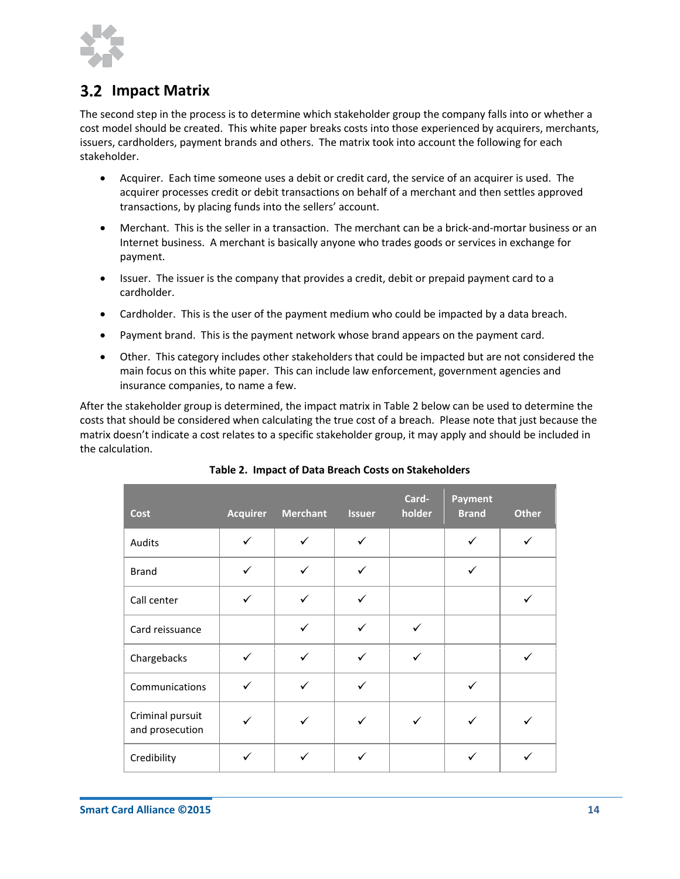

### <span id="page-13-0"></span>**3.2 Impact Matrix**

The second step in the process is to determine which stakeholder group the company falls into or whether a cost model should be created. This white paper breaks costs into those experienced by acquirers, merchants, issuers, cardholders, payment brands and others. The matrix took into account the following for each stakeholder.

- Acquirer. Each time someone uses a debit or credit card, the service of an acquirer is used. The acquirer processes credit or debit transactions on behalf of a merchant and then settles approved transactions, by placing funds into the sellers' account.
- Merchant. This is the seller in a transaction. The merchant can be a brick-and-mortar business or an Internet business. A merchant is basically anyone who trades goods or services in exchange for payment.
- Issuer. The issuer is the company that provides a credit, debit or prepaid payment card to a cardholder.
- Cardholder. This is the user of the payment medium who could be impacted by a data breach.
- Payment brand. This is the payment network whose brand appears on the payment card.
- Other. This category includes other stakeholders that could be impacted but are not considered the main focus on this white paper. This can include law enforcement, government agencies and insurance companies, to name a few.

After the stakeholder group is determined, the impact matrix i[n Table 2](#page-13-1) below can be used to determine the costs that should be considered when calculating the true cost of a breach. Please note that just because the matrix doesn't indicate a cost relates to a specific stakeholder group, it may apply and should be included in the calculation.

<span id="page-13-1"></span>

| <b>Cost</b>                         | <b>Acquirer</b> | <b>Merchant</b> | <b>Issuer</b> | Card-<br>holder | <b>Payment</b><br><b>Brand</b> | <b>Other</b> |
|-------------------------------------|-----------------|-----------------|---------------|-----------------|--------------------------------|--------------|
| Audits                              | $\checkmark$    | ✓               | ✓             |                 | ✓                              | ✓            |
| <b>Brand</b>                        | ✓               | ✓               | ✓             |                 | ✓                              |              |
| Call center                         | $\checkmark$    | ✓               | ✓             |                 |                                | ✓            |
| Card reissuance                     |                 | ✓               | ✓             | $\checkmark$    |                                |              |
| Chargebacks                         | $\checkmark$    | ✓               | ✓             | $\checkmark$    |                                | ✓            |
| Communications                      | $\checkmark$    | ✓               | ✓             |                 | ✓                              |              |
| Criminal pursuit<br>and prosecution |                 | ✓               | ✓             | $\checkmark$    |                                |              |
| Credibility                         | ✓               | ✓               | ✓             |                 | ✓                              | ✓            |

**Smart Card Alliance**91 Clarksville Rd.inceton Junction, NJ 08550

#### **Table 2. Impact of Data Breach Costs on Stakeholders**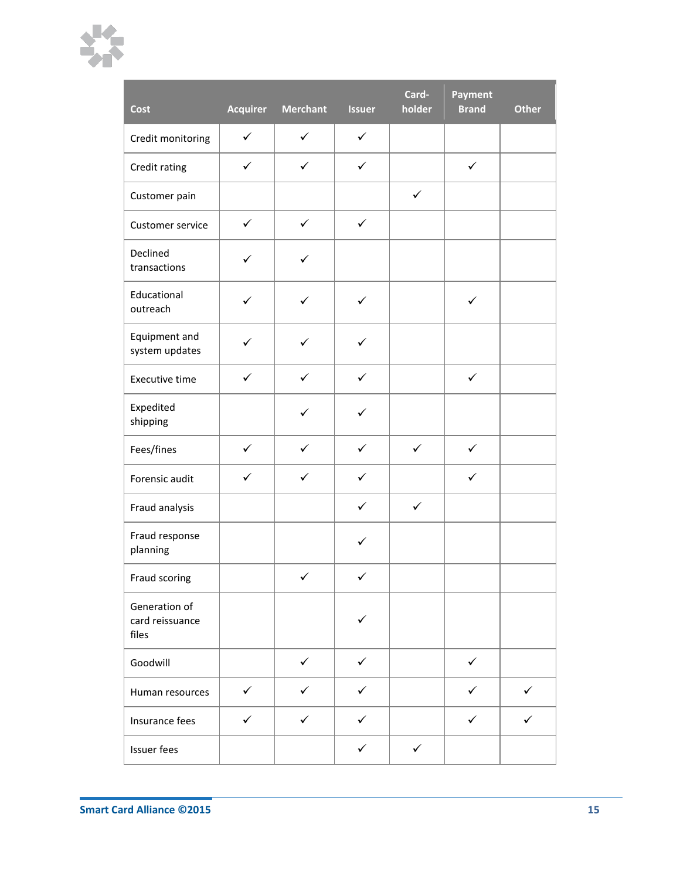

| Cost                                      | <b>Acquirer</b> | <b>Merchant</b> | <b>Issuer</b> | Card-<br>holder | Payment<br><b>Brand</b> | <b>Other</b> |
|-------------------------------------------|-----------------|-----------------|---------------|-----------------|-------------------------|--------------|
| Credit monitoring                         | $\checkmark$    | $\checkmark$    | $\checkmark$  |                 |                         |              |
| Credit rating                             | $\checkmark$    | $\checkmark$    | $\checkmark$  |                 | $\checkmark$            |              |
| Customer pain                             |                 |                 |               | $\checkmark$    |                         |              |
| Customer service                          | $\checkmark$    | $\checkmark$    | $\checkmark$  |                 |                         |              |
| Declined<br>transactions                  | ✓               | ✓               |               |                 |                         |              |
| Educational<br>outreach                   | ✓               | ✓               | $\checkmark$  |                 | $\checkmark$            |              |
| Equipment and<br>system updates           | ✓               | $\checkmark$    | $\checkmark$  |                 |                         |              |
| Executive time                            | $\checkmark$    | $\checkmark$    | $\checkmark$  |                 | $\checkmark$            |              |
| Expedited<br>shipping                     |                 | ✓               | ✓             |                 |                         |              |
| Fees/fines                                | $\checkmark$    | $\checkmark$    | $\checkmark$  | $\checkmark$    | $\checkmark$            |              |
| Forensic audit                            | ✓               | $\checkmark$    | ✓             |                 | ✓                       |              |
| Fraud analysis                            |                 |                 | ✓             | $\checkmark$    |                         |              |
| Fraud response<br>planning                |                 |                 | $\checkmark$  |                 |                         |              |
| Fraud scoring                             |                 | $\checkmark$    | $\checkmark$  |                 |                         |              |
| Generation of<br>card reissuance<br>files |                 |                 | ✓             |                 |                         |              |
| Goodwill                                  |                 | $\checkmark$    | $\checkmark$  |                 | $\checkmark$            |              |
| Human resources                           | $\checkmark$    | $\checkmark$    | $\checkmark$  |                 | $\checkmark$            | $\checkmark$ |
| Insurance fees                            | $\checkmark$    | $\checkmark$    | $\checkmark$  |                 | $\checkmark$            | $\checkmark$ |
| Issuer fees                               |                 |                 | $\checkmark$  | $\checkmark$    |                         |              |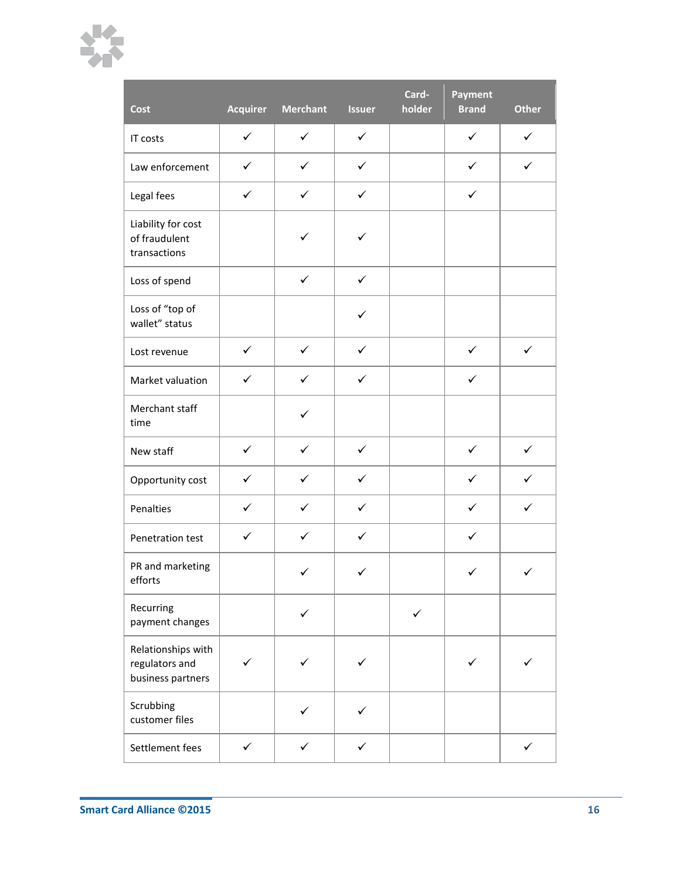

| Cost                                                      | <b>Acquirer</b> | <b>Merchant</b> | <b>Issuer</b> | Card-<br>holder | Payment<br><b>Brand</b> | <b>Other</b> |
|-----------------------------------------------------------|-----------------|-----------------|---------------|-----------------|-------------------------|--------------|
| IT costs                                                  | $\checkmark$    | $\checkmark$    | $\checkmark$  |                 | $\checkmark$            | $\checkmark$ |
| Law enforcement                                           | $\checkmark$    | $\checkmark$    | $\checkmark$  |                 | $\checkmark$            | $\checkmark$ |
| Legal fees                                                | $\checkmark$    | $\checkmark$    | $\checkmark$  |                 | $\checkmark$            |              |
| Liability for cost<br>of fraudulent<br>transactions       |                 | $\checkmark$    | ✓             |                 |                         |              |
| Loss of spend                                             |                 | $\checkmark$    | $\checkmark$  |                 |                         |              |
| Loss of "top of<br>wallet" status                         |                 |                 | $\checkmark$  |                 |                         |              |
| Lost revenue                                              | $\checkmark$    | $\checkmark$    | $\checkmark$  |                 | $\checkmark$            | $\checkmark$ |
| Market valuation                                          | $\checkmark$    | $\checkmark$    | $\checkmark$  |                 | $\checkmark$            |              |
| Merchant staff<br>time                                    |                 | ✓               |               |                 |                         |              |
| New staff                                                 | $\checkmark$    | $\checkmark$    | $\checkmark$  |                 | $\checkmark$            | $\checkmark$ |
| Opportunity cost                                          | $\checkmark$    | $\checkmark$    | $\checkmark$  |                 | ✓                       | $\checkmark$ |
| Penalties                                                 | $\checkmark$    | $\checkmark$    | $\checkmark$  |                 | $\checkmark$            | $\checkmark$ |
| Penetration test                                          | $\checkmark$    | $\checkmark$    | $\checkmark$  |                 | $\checkmark$            |              |
| PR and marketing<br>efforts                               |                 | ✓               | ✓             |                 | ✓                       | ✓            |
| Recurring<br>payment changes                              |                 | ✓               |               | ✓               |                         |              |
| Relationships with<br>regulators and<br>business partners |                 |                 |               |                 |                         |              |
| Scrubbing<br>customer files                               |                 |                 |               |                 |                         |              |
| Settlement fees                                           | $\checkmark$    | $\checkmark$    | $\checkmark$  |                 |                         | $\checkmark$ |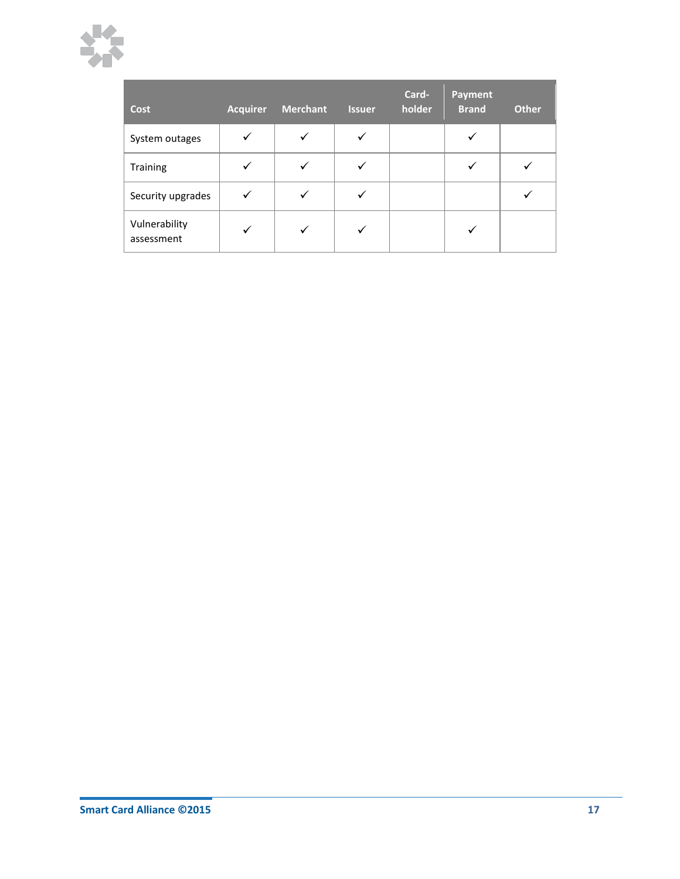

| <b>Cost</b>                 | <b>Acquirer</b> | <b>Merchant</b> | <b>Issuer</b> | Card-<br>holder | <b>Payment</b><br><b>Brand</b> | <b>Other</b> |
|-----------------------------|-----------------|-----------------|---------------|-----------------|--------------------------------|--------------|
| System outages              | ✓               | $\checkmark$    | ✓             |                 | ✓                              |              |
| Training                    | ✓               | $\checkmark$    | ✓             |                 |                                |              |
| Security upgrades           | ✓               | $\checkmark$    |               |                 |                                |              |
| Vulnerability<br>assessment | ✓               | $\checkmark$    | $\checkmark$  |                 | ✓                              |              |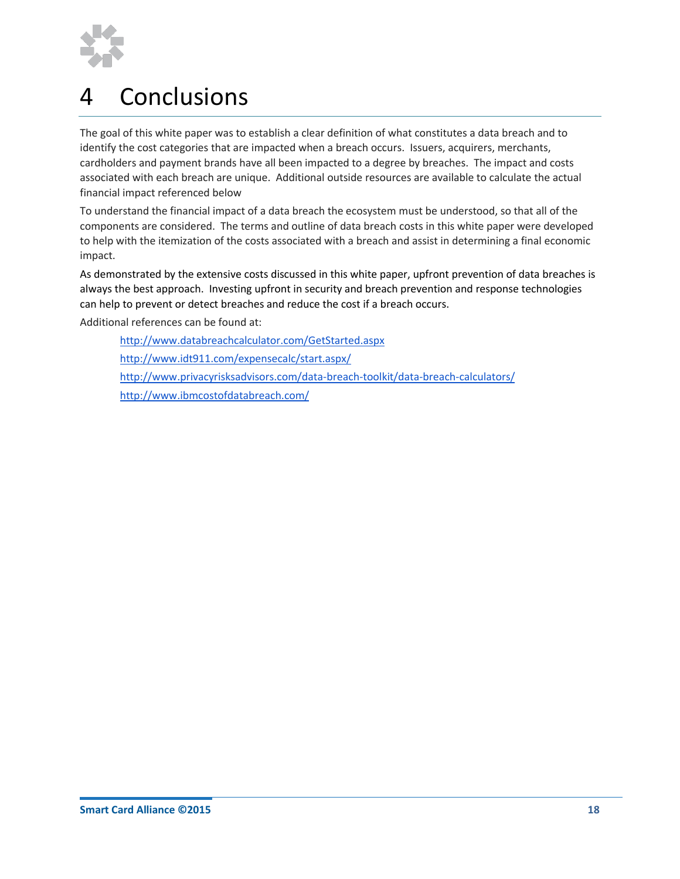

# <span id="page-17-0"></span>4 Conclusions

The goal of this white paper was to establish a clear definition of what constitutes a data breach and to identify the cost categories that are impacted when a breach occurs. Issuers, acquirers, merchants, cardholders and payment brands have all been impacted to a degree by breaches. The impact and costs associated with each breach are unique. Additional outside resources are available to calculate the actual financial impact referenced below

To understand the financial impact of a data breach the ecosystem must be understood, so that all of the components are considered. The terms and outline of data breach costs in this white paper were developed to help with the itemization of the costs associated with a breach and assist in determining a final economic impact.

As demonstrated by the extensive costs discussed in this white paper, upfront prevention of data breaches is always the best approach. Investing upfront in security and breach prevention and response technologies can help to prevent or detect breaches and reduce the cost if a breach occurs.

Additional references can be found at:

<http://www.databreachcalculator.com/GetStarted.aspx> <http://www.idt911.com/expensecalc/start.aspx/> <http://www.privacyrisksadvisors.com/data-breach-toolkit/data-breach-calculators/> <http://www.ibmcostofdatabreach.com/>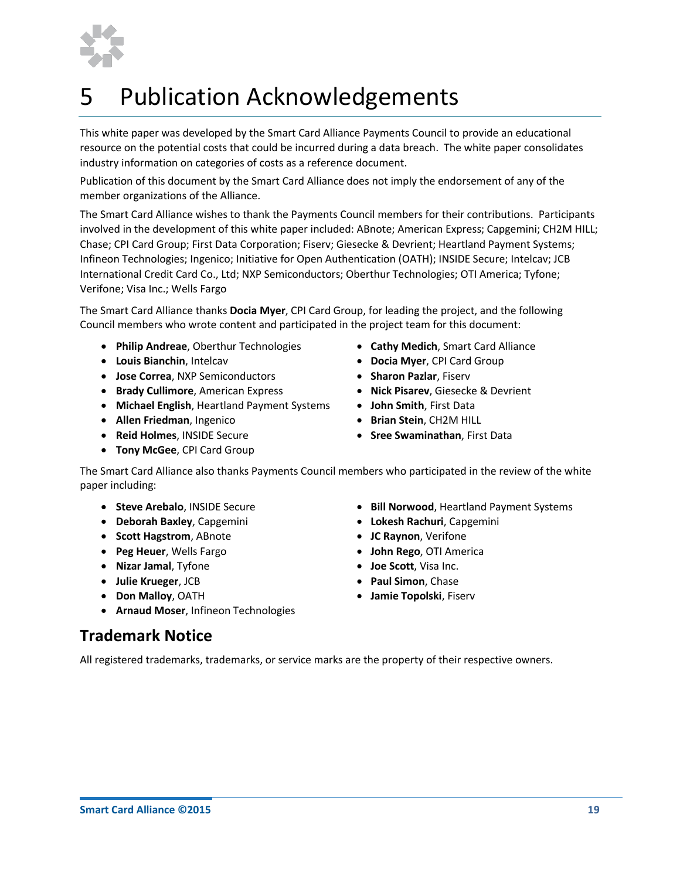

# <span id="page-18-0"></span>5 Publication Acknowledgements

This white paper was developed by the Smart Card Alliance Payments Council to provide an educational resource on the potential costs that could be incurred during a data breach. The white paper consolidates industry information on categories of costs as a reference document.

Publication of this document by the Smart Card Alliance does not imply the endorsement of any of the member organizations of the Alliance.

The Smart Card Alliance wishes to thank the Payments Council members for their contributions. Participants involved in the development of this white paper included: ABnote; American Express; Capgemini; CH2M HILL; Chase; CPI Card Group; First Data Corporation; Fiserv; Giesecke & Devrient; Heartland Payment Systems; Infineon Technologies; Ingenico; Initiative for Open Authentication (OATH); INSIDE Secure; Intelcav; JCB International Credit Card Co., Ltd; NXP Semiconductors; Oberthur Technologies; OTI America; Tyfone; Verifone; Visa Inc.; Wells Fargo

The Smart Card Alliance thanks **Docia Myer**, CPI Card Group, for leading the project, and the following Council members who wrote content and participated in the project team for this document:

- **Philip Andreae**, Oberthur Technologies **Cathy Medich**, Smart Card Alliance
- 
- **•** Jose Correa, NXP Semiconductors **•** Sharon Pazlar, Fiserv
- **Brady Cullimore**, American Express **1988 1988 1988 in Pisarev**, Giesecke & Devrient
- **Michael English**, Heartland Payment Systems  **John Smith**, First Data
- **Allen Friedman**, Ingenico **<b>ability b Brian Stein**, CH2M HILL
- 
- **Tony McGee**, CPI Card Group
- 
- **Louis Bianchin**, Intelcav  **Docia Myer**, CPI Card Group
	-
	-
	-
	-
- **Reid Holmes**, INSIDE Secure **Sree Swaminathan**, First Data

The Smart Card Alliance also thanks Payments Council members who participated in the review of the white paper including:

- **Steve Arebalo**, INSIDE Secure **1998 1998 1998 1998 1998 1999 1999 1999 1999 1999 1999 1999 1999 1999 1999 1999 1999 1999 1999 1999 1999 1999 1999 1999 1999 1999 1999**
- **Deborah Baxley**, Capgemini **Lokesh Rachuri**, Capgemini
- **Scott Hagstrom**, ABnote **<b>19. In the Scott Hagstrom**, ABnote
- **Peg Heuer**, Wells Fargo **John Rego**, OTI America
- **Nizar Jamal**, Tyfone **Joe Scott**, Visa Inc.
- **Julie Krueger**, JCB **Paul Simon**, Chase
- **Don Malloy**, OATH **Jamie Topolski**, Fiserv
- **Arnaud Moser**, Infineon Technologies

### **Trademark Notice**

All registered trademarks, trademarks, or service marks are the property of their respective owners.

- -
	-